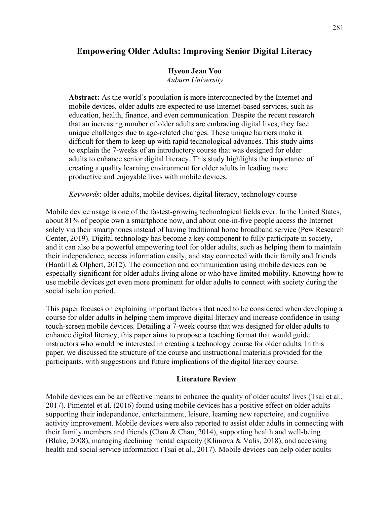# **Empowering Older Adults: Improving Senior Digital Literacy**

### **Hyeon Jean Yoo**

*Auburn University*

**Abstract:** As the world's population is more interconnected by the Internet and mobile devices, older adults are expected to use Internet-based services, such as education, health, finance, and even communication. Despite the recent research that an increasing number of older adults are embracing digital lives, they face unique challenges due to age-related changes. These unique barriers make it difficult for them to keep up with rapid technological advances. This study aims to explain the 7-weeks of an introductory course that was designed for older adults to enhance senior digital literacy. This study highlights the importance of creating a quality learning environment for older adults in leading more productive and enjoyable lives with mobile devices.

*Keywords*: older adults, mobile devices, digital literacy, technology course

Mobile device usage is one of the fastest-growing technological fields ever. In the United States, about 81% of people own a smartphone now, and about one-in-five people access the Internet solely via their smartphones instead of having traditional home broadband service (Pew Research Center, 2019). Digital technology has become a key component to fully participate in society, and it can also be a powerful empowering tool for older adults, such as helping them to maintain their independence, access information easily, and stay connected with their family and friends (Hardill & Olphert, 2012). The connection and communication using mobile devices can be especially significant for older adults living alone or who have limited mobility. Knowing how to use mobile devices got even more prominent for older adults to connect with society during the social isolation period.

This paper focuses on explaining important factors that need to be considered when developing a course for older adults in helping them improve digital literacy and increase confidence in using touch-screen mobile devices. Detailing a 7-week course that was designed for older adults to enhance digital literacy, this paper aims to propose a teaching format that would guide instructors who would be interested in creating a technology course for older adults. In this paper, we discussed the structure of the course and instructional materials provided for the participants, with suggestions and future implications of the digital literacy course.

#### **Literature Review**

Mobile devices can be an effective means to enhance the quality of older adults' lives (Tsai et al., 2017). Pimentel et al. (2016) found using mobile devices has a positive effect on older adults supporting their independence, entertainment, leisure, learning new repertoire, and cognitive activity improvement. Mobile devices were also reported to assist older adults in connecting with their family members and friends (Chan & Chan, 2014), supporting health and well-being (Blake, 2008), managing declining mental capacity (Klimova & Valis, 2018), and accessing health and social service information (Tsai et al., 2017). Mobile devices can help older adults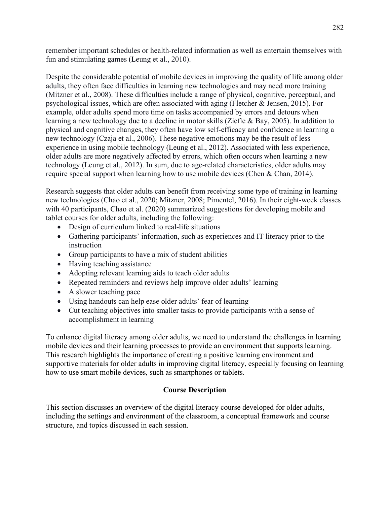remember important schedules or health-related information as well as entertain themselves with fun and stimulating games (Leung et al., 2010).

Despite the considerable potential of mobile devices in improving the quality of life among older adults, they often face difficulties in learning new technologies and may need more training (Mitzner et al., 2008). These difficulties include a range of physical, cognitive, perceptual, and psychological issues, which are often associated with aging (Fletcher & Jensen, 2015). For example, older adults spend more time on tasks accompanied by errors and detours when learning a new technology due to a decline in motor skills (Ziefle & Bay, 2005). In addition to physical and cognitive changes, they often have low self-efficacy and confidence in learning a new technology (Czaja et al., 2006). These negative emotions may be the result of less experience in using mobile technology (Leung et al., 2012). Associated with less experience, older adults are more negatively affected by errors, which often occurs when learning a new technology (Leung et al., 2012). In sum, due to age-related characteristics, older adults may require special support when learning how to use mobile devices (Chen & Chan, 2014).

Research suggests that older adults can benefit from receiving some type of training in learning new technologies (Chao et al., 2020; Mitzner, 2008; Pimentel, 2016). In their eight-week classes with 40 participants, Chao et al. (2020) summarized suggestions for developing mobile and tablet courses for older adults, including the following:

- Design of curriculum linked to real-life situations
- Gathering participants' information, such as experiences and IT literacy prior to the instruction
- Group participants to have a mix of student abilities
- Having teaching assistance
- Adopting relevant learning aids to teach older adults
- Repeated reminders and reviews help improve older adults' learning
- A slower teaching pace
- Using handouts can help ease older adults' fear of learning
- Cut teaching objectives into smaller tasks to provide participants with a sense of accomplishment in learning

To enhance digital literacy among older adults, we need to understand the challenges in learning mobile devices and their learning processes to provide an environment that supports learning. This research highlights the importance of creating a positive learning environment and supportive materials for older adults in improving digital literacy, especially focusing on learning how to use smart mobile devices, such as smartphones or tablets.

# **Course Description**

This section discusses an overview of the digital literacy course developed for older adults, including the settings and environment of the classroom, a conceptual framework and course structure, and topics discussed in each session.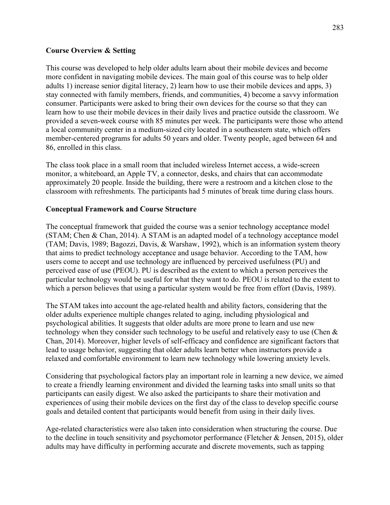### **Course Overview & Setting**

This course was developed to help older adults learn about their mobile devices and become more confident in navigating mobile devices. The main goal of this course was to help older adults 1) increase senior digital literacy, 2) learn how to use their mobile devices and apps, 3) stay connected with family members, friends, and communities, 4) become a savvy information consumer. Participants were asked to bring their own devices for the course so that they can learn how to use their mobile devices in their daily lives and practice outside the classroom. We provided a seven-week course with 85 minutes per week. The participants were those who attend a local community center in a medium-sized city located in a southeastern state, which offers member-centered programs for adults 50 years and older. Twenty people, aged between 64 and 86, enrolled in this class.

The class took place in a small room that included wireless Internet access, a wide-screen monitor, a whiteboard, an Apple TV, a connector, desks, and chairs that can accommodate approximately 20 people. Inside the building, there were a restroom and a kitchen close to the classroom with refreshments. The participants had 5 minutes of break time during class hours.

# **Conceptual Framework and Course Structure**

The conceptual framework that guided the course was a senior technology acceptance model (STAM; Chen & Chan, 2014). A STAM is an adapted model of a technology acceptance model (TAM; Davis, 1989; Bagozzi, Davis, & Warshaw, 1992), which is an information system theory that aims to predict technology acceptance and usage behavior. According to the TAM, how users come to accept and use technology are influenced by perceived usefulness (PU) and perceived ease of use (PEOU). PU is described as the extent to which a person perceives the particular technology would be useful for what they want to do. PEOU is related to the extent to which a person believes that using a particular system would be free from effort (Davis, 1989).

The STAM takes into account the age-related health and ability factors, considering that the older adults experience multiple changes related to aging, including physiological and psychological abilities. It suggests that older adults are more prone to learn and use new technology when they consider such technology to be useful and relatively easy to use (Chen & Chan, 2014). Moreover, higher levels of self-efficacy and confidence are significant factors that lead to usage behavior, suggesting that older adults learn better when instructors provide a relaxed and comfortable environment to learn new technology while lowering anxiety levels.

Considering that psychological factors play an important role in learning a new device, we aimed to create a friendly learning environment and divided the learning tasks into small units so that participants can easily digest. We also asked the participants to share their motivation and experiences of using their mobile devices on the first day of the class to develop specific course goals and detailed content that participants would benefit from using in their daily lives.

Age-related characteristics were also taken into consideration when structuring the course. Due to the decline in touch sensitivity and psychomotor performance (Fletcher & Jensen, 2015), older adults may have difficulty in performing accurate and discrete movements, such as tapping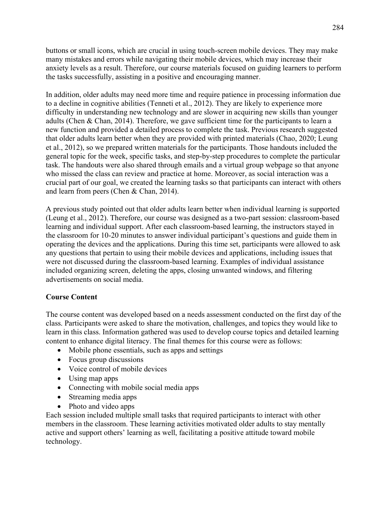buttons or small icons, which are crucial in using touch-screen mobile devices. They may make many mistakes and errors while navigating their mobile devices, which may increase their anxiety levels as a result. Therefore, our course materials focused on guiding learners to perform the tasks successfully, assisting in a positive and encouraging manner.

In addition, older adults may need more time and require patience in processing information due to a decline in cognitive abilities (Tenneti et al., 2012). They are likely to experience more difficulty in understanding new technology and are slower in acquiring new skills than younger adults (Chen & Chan, 2014). Therefore, we gave sufficient time for the participants to learn a new function and provided a detailed process to complete the task. Previous research suggested that older adults learn better when they are provided with printed materials (Chao, 2020; Leung et al., 2012), so we prepared written materials for the participants. Those handouts included the general topic for the week, specific tasks, and step-by-step procedures to complete the particular task. The handouts were also shared through emails and a virtual group webpage so that anyone who missed the class can review and practice at home. Moreover, as social interaction was a crucial part of our goal, we created the learning tasks so that participants can interact with others and learn from peers (Chen & Chan, 2014).

A previous study pointed out that older adults learn better when individual learning is supported (Leung et al., 2012). Therefore, our course was designed as a two-part session: classroom-based learning and individual support. After each classroom-based learning, the instructors stayed in the classroom for 10-20 minutes to answer individual participant's questions and guide them in operating the devices and the applications. During this time set, participants were allowed to ask any questions that pertain to using their mobile devices and applications, including issues that were not discussed during the classroom-based learning. Examples of individual assistance included organizing screen, deleting the apps, closing unwanted windows, and filtering advertisements on social media.

# **Course Content**

The course content was developed based on a needs assessment conducted on the first day of the class. Participants were asked to share the motivation, challenges, and topics they would like to learn in this class. Information gathered was used to develop course topics and detailed learning content to enhance digital literacy. The final themes for this course were as follows:

- Mobile phone essentials, such as apps and settings
- Focus group discussions
- Voice control of mobile devices
- Using map apps
- Connecting with mobile social media apps
- Streaming media apps
- Photo and video apps

Each session included multiple small tasks that required participants to interact with other members in the classroom. These learning activities motivated older adults to stay mentally active and support others' learning as well, facilitating a positive attitude toward mobile technology.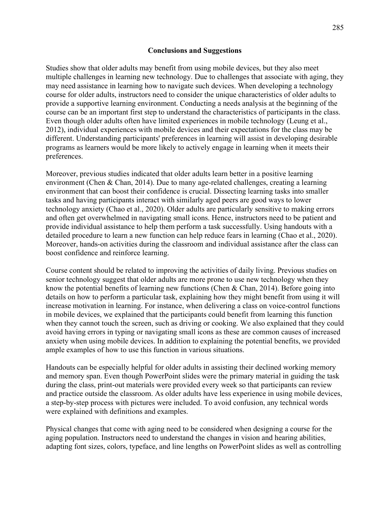### **Conclusions and Suggestions**

Studies show that older adults may benefit from using mobile devices, but they also meet multiple challenges in learning new technology. Due to challenges that associate with aging, they may need assistance in learning how to navigate such devices. When developing a technology course for older adults, instructors need to consider the unique characteristics of older adults to provide a supportive learning environment. Conducting a needs analysis at the beginning of the course can be an important first step to understand the characteristics of participants in the class. Even though older adults often have limited experiences in mobile technology (Leung et al., 2012), individual experiences with mobile devices and their expectations for the class may be different. Understanding participants' preferences in learning will assist in developing desirable programs as learners would be more likely to actively engage in learning when it meets their preferences.

Moreover, previous studies indicated that older adults learn better in a positive learning environment (Chen & Chan, 2014). Due to many age-related challenges, creating a learning environment that can boost their confidence is crucial. Dissecting learning tasks into smaller tasks and having participants interact with similarly aged peers are good ways to lower technology anxiety (Chao et al., 2020). Older adults are particularly sensitive to making errors and often get overwhelmed in navigating small icons. Hence, instructors need to be patient and provide individual assistance to help them perform a task successfully. Using handouts with a detailed procedure to learn a new function can help reduce fears in learning (Chao et al., 2020). Moreover, hands-on activities during the classroom and individual assistance after the class can boost confidence and reinforce learning.

Course content should be related to improving the activities of daily living. Previous studies on senior technology suggest that older adults are more prone to use new technology when they know the potential benefits of learning new functions (Chen & Chan, 2014). Before going into details on how to perform a particular task, explaining how they might benefit from using it will increase motivation in learning. For instance, when delivering a class on voice-control functions in mobile devices, we explained that the participants could benefit from learning this function when they cannot touch the screen, such as driving or cooking. We also explained that they could avoid having errors in typing or navigating small icons as these are common causes of increased anxiety when using mobile devices. In addition to explaining the potential benefits, we provided ample examples of how to use this function in various situations.

Handouts can be especially helpful for older adults in assisting their declined working memory and memory span. Even though PowerPoint slides were the primary material in guiding the task during the class, print-out materials were provided every week so that participants can review and practice outside the classroom. As older adults have less experience in using mobile devices, a step-by-step process with pictures were included. To avoid confusion, any technical words were explained with definitions and examples.

Physical changes that come with aging need to be considered when designing a course for the aging population. Instructors need to understand the changes in vision and hearing abilities, adapting font sizes, colors, typeface, and line lengths on PowerPoint slides as well as controlling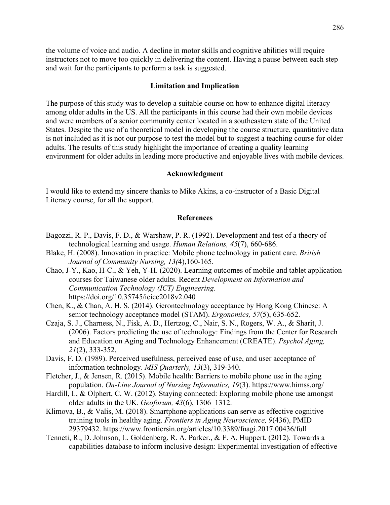the volume of voice and audio. A decline in motor skills and cognitive abilities will require instructors not to move too quickly in delivering the content. Having a pause between each step and wait for the participants to perform a task is suggested.

#### **Limitation and Implication**

The purpose of this study was to develop a suitable course on how to enhance digital literacy among older adults in the US. All the participants in this course had their own mobile devices and were members of a senior community center located in a southeastern state of the United States. Despite the use of a theoretical model in developing the course structure, quantitative data is not included as it is not our purpose to test the model but to suggest a teaching course for older adults. The results of this study highlight the importance of creating a quality learning environment for older adults in leading more productive and enjoyable lives with mobile devices.

#### **Acknowledgment**

I would like to extend my sincere thanks to Mike Akins, a co-instructor of a Basic Digital Literacy course, for all the support.

#### **References**

- Bagozzi, R. P., Davis, F. D., & Warshaw, P. R. (1992). Development and test of a theory of technological learning and usage. *Human Relations, 45*(7), 660-686.
- Blake, H. (2008). Innovation in practice: Mobile phone technology in patient care. *British Journal of Community Nursing, 13(*4),160-165.
- Chao, J-Y., Kao, H-C., & Yeh, Y-H. (2020). Learning outcomes of mobile and tablet application courses for Taiwanese older adults. Recent *Development on Information and Communication Technology (ICT) Engineering*. https://doi.org/10.35745/icice2018v2.040
- Chen, K., & Chan, A. H. S. (2014). Gerontechnology acceptance by Hong Kong Chinese: A senior technology acceptance model (STAM). *Ergonomics, 57*(5), 635-652.
- Czaja, S. J., Charness, N., Fisk, A. D., Hertzog, C., Nair, S. N., Rogers, W. A., & Sharit, J. (2006). Factors predicting the use of technology: Findings from the Center for Research and Education on Aging and Technology Enhancement (CREATE). *Psychol Aging, 21*(2), 333-352.
- Davis, F. D. (1989). Perceived usefulness, perceived ease of use, and user acceptance of information technology. *MIS Quarterly, 13*(3), 319-340.
- Fletcher, J., & Jensen, R. (2015). Mobile health: Barriers to mobile phone use in the aging population. *On-Line Journal of Nursing Informatics, 19*(3). https://www.himss.org/
- Hardill, I., & Olphert, C. W. (2012). Staying connected: Exploring mobile phone use amongst older adults in the UK. *Geoforum, 43*(6), 1306–1312.
- Klimova, B., & Valis, M. (2018). Smartphone applications can serve as effective cognitive training tools in healthy aging. *Frontiers in Aging Neuroscience, 9*(436), PMID 29379432.<https://www.frontiersin.org/articles/10.3389/fnagi.2017.00436/full>
- Tenneti, R., D. Johnson, L. Goldenberg, R. A. Parker., & F. A. Huppert. (2012). Towards a capabilities database to inform inclusive design: Experimental investigation of effective